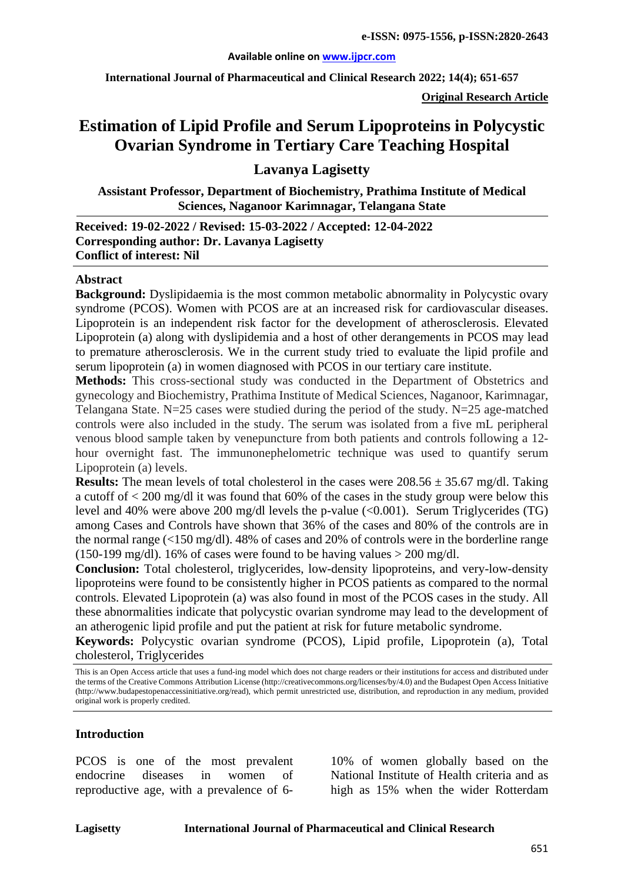#### **Available online on [www.ijpcr.com](http://www.ijpcr.com/)**

**International Journal of Pharmaceutical and Clinical Research 2022; 14(4); 651-657**

**Original Research Article**

# **Estimation of Lipid Profile and Serum Lipoproteins in Polycystic Ovarian Syndrome in Tertiary Care Teaching Hospital**

**Lavanya Lagisetty**

**Assistant Professor, Department of Biochemistry, Prathima Institute of Medical Sciences, Naganoor Karimnagar, Telangana State**

**Received: 19-02-2022 / Revised: 15-03-2022 / Accepted: 12-04-2022 Corresponding author: Dr. Lavanya Lagisetty Conflict of interest: Nil**

#### **Abstract**

**Background:** Dyslipidaemia is the most common metabolic abnormality in Polycystic ovary syndrome (PCOS). Women with PCOS are at an increased risk for cardiovascular diseases. Lipoprotein is an independent risk factor for the development of atherosclerosis. Elevated Lipoprotein (a) along with dyslipidemia and a host of other derangements in PCOS may lead to premature atherosclerosis. We in the current study tried to evaluate the lipid profile and serum lipoprotein (a) in women diagnosed with PCOS in our tertiary care institute.

**Methods:** This cross-sectional study was conducted in the Department of Obstetrics and gynecology and Biochemistry, Prathima Institute of Medical Sciences, Naganoor, Karimnagar, Telangana State. N=25 cases were studied during the period of the study. N=25 age-matched controls were also included in the study. The serum was isolated from a five mL peripheral venous blood sample taken by venepuncture from both patients and controls following a 12 hour overnight fast. The immunonephelometric technique was used to quantify serum Lipoprotein (a) levels.

**Results:** The mean levels of total cholesterol in the cases were  $208.56 \pm 35.67$  mg/dl. Taking a cutoff of < 200 mg/dl it was found that 60% of the cases in the study group were below this level and 40% were above 200 mg/dl levels the p-value  $(<0.001)$ . Serum Triglycerides (TG) among Cases and Controls have shown that 36% of the cases and 80% of the controls are in the normal range ( $\langle 150 \text{ mg/d} \rangle$ ). 48% of cases and 20% of controls were in the borderline range (150-199 mg/dl). 16% of cases were found to be having values  $> 200$  mg/dl.

**Conclusion:** Total cholesterol, triglycerides, low-density lipoproteins, and very-low-density lipoproteins were found to be consistently higher in PCOS patients as compared to the normal controls. Elevated Lipoprotein (a) was also found in most of the PCOS cases in the study. All these abnormalities indicate that polycystic ovarian syndrome may lead to the development of an atherogenic lipid profile and put the patient at risk for future metabolic syndrome.

**Keywords:** Polycystic ovarian syndrome (PCOS), Lipid profile, Lipoprotein (a), Total cholesterol, Triglycerides

This is an Open Access article that uses a fund-ing model which does not charge readers or their institutions for access and distributed under the terms of the Creative Commons Attribution License (http://creativecommons.org/licenses/by/4.0) and the Budapest Open Access Initiative (http://www.budapestopenaccessinitiative.org/read), which permit unrestricted use, distribution, and reproduction in any medium, provided original work is properly credited.

#### **Introduction**

PCOS is one of the most prevalent endocrine diseases in women of reproductive age, with a prevalence of 610% of women globally based on the National Institute of Health criteria and as high as 15% when the wider Rotterdam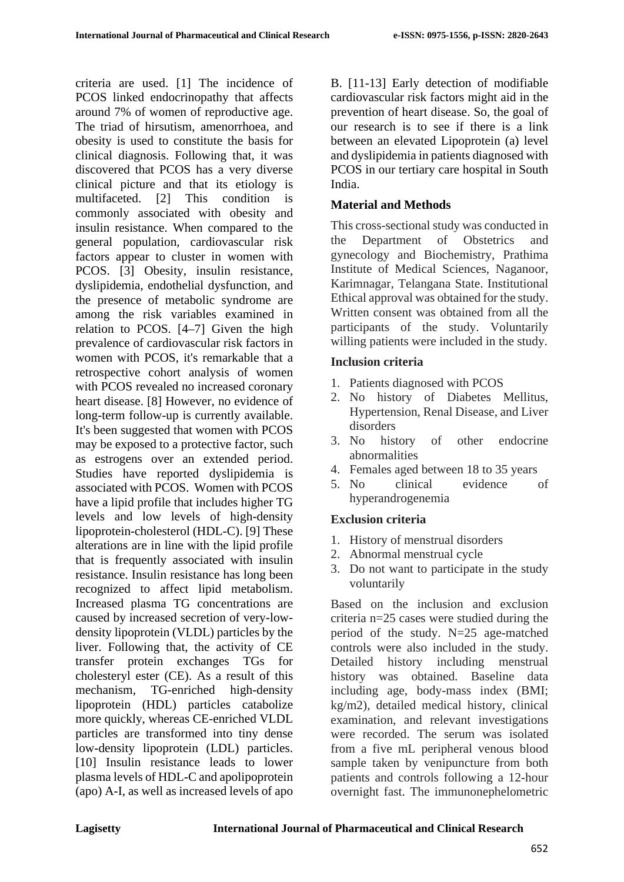criteria are used. [1] The incidence of PCOS linked endocrinopathy that affects around 7% of women of reproductive age. The triad of hirsutism, amenorrhoea, and obesity is used to constitute the basis for clinical diagnosis. Following that, it was discovered that PCOS has a very diverse clinical picture and that its etiology is multifaceted. [2] This condition is commonly associated with obesity and insulin resistance. When compared to the general population, cardiovascular risk factors appear to cluster in women with PCOS. [3] Obesity, insulin resistance, dyslipidemia, endothelial dysfunction, and the presence of metabolic syndrome are among the risk variables examined in relation to PCOS. [4–7] Given the high prevalence of cardiovascular risk factors in women with PCOS, it's remarkable that a retrospective cohort analysis of women with PCOS revealed no increased coronary heart disease. [8] However, no evidence of long-term follow-up is currently available. It's been suggested that women with PCOS may be exposed to a protective factor, such as estrogens over an extended period. Studies have reported dyslipidemia is associated with PCOS. Women with PCOS have a lipid profile that includes higher TG levels and low levels of high-density lipoprotein-cholesterol (HDL-C). [9] These alterations are in line with the lipid profile that is frequently associated with insulin resistance. Insulin resistance has long been recognized to affect lipid metabolism. Increased plasma TG concentrations are caused by increased secretion of very-lowdensity lipoprotein (VLDL) particles by the liver. Following that, the activity of CE transfer protein exchanges TGs for cholesteryl ester (CE). As a result of this mechanism, TG-enriched high-density lipoprotein (HDL) particles catabolize more quickly, whereas CE-enriched VLDL particles are transformed into tiny dense low-density lipoprotein (LDL) particles. [10] Insulin resistance leads to lower plasma levels of HDL-C and apolipoprotein (apo) A-I, as well as increased levels of apo

B. [11-13] Early detection of modifiable cardiovascular risk factors might aid in the prevention of heart disease. So, the goal of our research is to see if there is a link between an elevated Lipoprotein (a) level and dyslipidemia in patients diagnosed with PCOS in our tertiary care hospital in South India.

## **Material and Methods**

This cross-sectional study was conducted in the Department of Obstetrics and gynecology and Biochemistry, Prathima Institute of Medical Sciences, Naganoor, Karimnagar, Telangana State. Institutional Ethical approval was obtained for the study. Written consent was obtained from all the participants of the study. Voluntarily willing patients were included in the study.

### **Inclusion criteria**

- 1. Patients diagnosed with PCOS
- 2. No history of Diabetes Mellitus, Hypertension, Renal Disease, and Liver disorders
- 3. No history of other endocrine abnormalities
- 4. Females aged between 18 to 35 years
- 5. No clinical evidence of hyperandrogenemia

### **Exclusion criteria**

- 1. History of menstrual disorders
- 2. Abnormal menstrual cycle
- 3. Do not want to participate in the study voluntarily

Based on the inclusion and exclusion criteria n=25 cases were studied during the period of the study. N=25 age-matched controls were also included in the study. Detailed history including menstrual history was obtained. Baseline data including age, body-mass index (BMI; kg/m2), detailed medical history, clinical examination, and relevant investigations were recorded. The serum was isolated from a five mL peripheral venous blood sample taken by venipuncture from both patients and controls following a 12-hour overnight fast. The immunonephelometric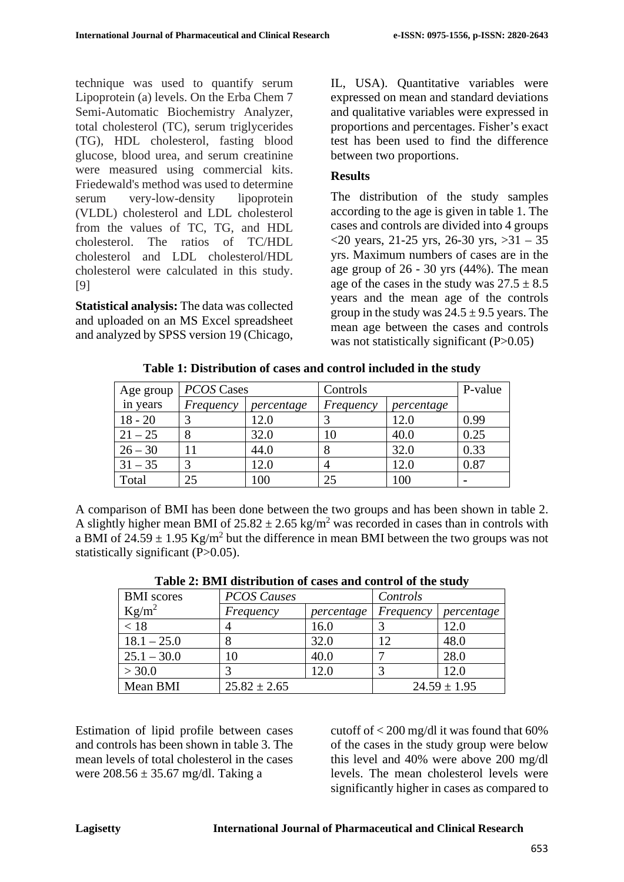technique was used to quantify serum Lipoprotein (a) levels. On the Erba Chem 7 Semi-Automatic Biochemistry Analyzer, total cholesterol (TC), serum triglycerides (TG), HDL cholesterol, fasting blood glucose, blood urea, and serum creatinine were measured using commercial kits. Friedewald's method was used to determine serum very-low-density lipoprotein (VLDL) cholesterol and LDL cholesterol from the values of TC, TG, and HDL cholesterol. The ratios of TC/HDL cholesterol and LDL cholesterol/HDL cholesterol were calculated in this study. [9]

**Statistical analysis:** The data was collected and uploaded on an MS Excel spreadsheet and analyzed by SPSS version 19 (Chicago,

IL, USA). Quantitative variables were expressed on mean and standard deviations and qualitative variables were expressed in proportions and percentages. Fisher's exact test has been used to find the difference between two proportions.

## **Results**

The distribution of the study samples according to the age is given in table 1. The cases and controls are divided into 4 groups <20 years, 21-25 yrs, 26-30 yrs, >31 – 35 yrs. Maximum numbers of cases are in the age group of 26 - 30 yrs (44%). The mean age of the cases in the study was  $27.5 \pm 8.5$ years and the mean age of the controls group in the study was  $24.5 \pm 9.5$  years. The mean age between the cases and controls was not statistically significant  $(P>0.05)$ 

| Age group | PCOS Cases | Controls   |           | P-value    |      |
|-----------|------------|------------|-----------|------------|------|
| in years  | Frequency  | percentage | Frequency | percentage |      |
| $18 - 20$ |            | 12.0       |           | 12.0       | 0.99 |
| $21 - 25$ |            | 32.0       | 10        | 40.0       | 0.25 |
| $26 - 30$ |            | 44.0       | Ω         | 32.0       | 0.33 |
| $31 - 35$ |            | 12.0       |           | 12.0       | 0.87 |
| Total     | 25         | 100        | 25        | 100        |      |

**Table 1: Distribution of cases and control included in the study**

A comparison of BMI has been done between the two groups and has been shown in table 2. A slightly higher mean BMI of  $25.82 \pm 2.65$  kg/m<sup>2</sup> was recorded in cases than in controls with a BMI of  $24.59 \pm 1.95$  Kg/m<sup>2</sup> but the difference in mean BMI between the two groups was not statistically significant (P>0.05).

| <b>BMI</b> scores | <b>PCOS Causes</b> |            | Controls  |                  |
|-------------------|--------------------|------------|-----------|------------------|
| $Kg/m^2$          | Frequency          | percentage | Frequency | percentage       |
| < 18              |                    | 16.0       |           | 12.0             |
| $18.1 - 25.0$     |                    | 32.0       | 12        | 48.0             |
| $25.1 - 30.0$     | 10                 | 40.0       |           | 28.0             |
| > 30.0            |                    | 12.0       |           | 12.0             |
| Mean BMI          | $25.82 \pm 2.65$   |            |           | $24.59 \pm 1.95$ |

**Table 2: BMI distribution of cases and control of the study**

Estimation of lipid profile between cases and controls has been shown in table 3. The mean levels of total cholesterol in the cases were  $208.56 \pm 35.67$  mg/dl. Taking a

cutoff of  $\langle 200 \text{ mg/d} \rangle$  it was found that 60% of the cases in the study group were below this level and 40% were above 200 mg/dl levels. The mean cholesterol levels were significantly higher in cases as compared to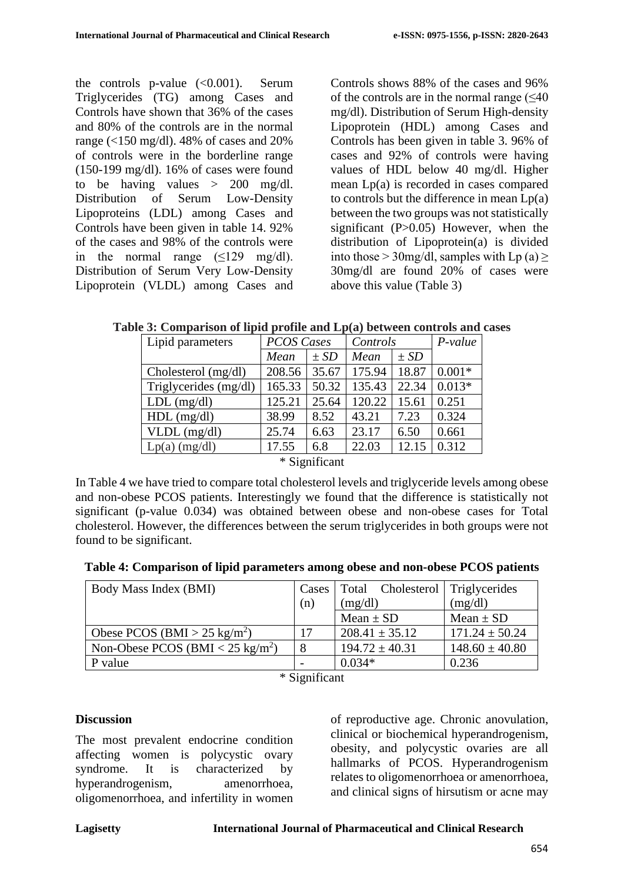the controls p-value (<0.001). Serum Triglycerides (TG) among Cases and Controls have shown that 36% of the cases and 80% of the controls are in the normal range (<150 mg/dl). 48% of cases and 20% of controls were in the borderline range (150-199 mg/dl). 16% of cases were found to be having values  $> 200$  mg/dl. Distribution of Serum Low-Density Lipoproteins (LDL) among Cases and Controls have been given in table 14. 92% of the cases and 98% of the controls were in the normal range  $(\leq 129 \text{ mg/dl}).$ Distribution of Serum Very Low-Density Lipoprotein (VLDL) among Cases and Controls shows 88% of the cases and 96% of the controls are in the normal range  $(\leq 40)$ mg/dl). Distribution of Serum High-density Lipoprotein (HDL) among Cases and Controls has been given in table 3. 96% of cases and 92% of controls were having values of HDL below 40 mg/dl. Higher mean Lp(a) is recorded in cases compared to controls but the difference in mean Lp(a) between the two groups was not statistically significant (P>0.05) However, when the distribution of Lipoprotein(a) is divided into those > 30 mg/dl, samples with  $L_p(a) \ge$ 30mg/dl are found 20% of cases were above this value (Table 3)

**Table 3: Comparison of lipid profile and Lp(a) between controls and cases**

| Lipid parameters                   | <b>PCOS Cases</b> |          | Controls |          | $P-value$ |  |
|------------------------------------|-------------------|----------|----------|----------|-----------|--|
|                                    | Mean              | $\pm SD$ | Mean     | $\pm SD$ |           |  |
| Cholesterol $(mg/dl)$              | 208.56            | 35.67    | 175.94   | 18.87    | $0.001*$  |  |
| Triglycerides (mg/dl)              | 165.33            | 50.32    | 135.43   | 22.34    | $0.013*$  |  |
| $LDL$ (mg/dl)                      | 125.21            | 25.64    | 120.22   | 15.61    | 0.251     |  |
| $HDL$ (mg/dl)                      | 38.99             | 8.52     | 43.21    | 7.23     | 0.324     |  |
| $VLDL$ (mg/dl)                     | 25.74             | 6.63     | 23.17    | 6.50     | 0.661     |  |
| $Lp(a)$ (mg/dl)                    | 17.55             | 6.8      | 22.03    | 12.15    | 0.312     |  |
| $\sim$ $\sim$ $\sim$ $\sim$ $\sim$ |                   |          |          |          |           |  |

\* Significant

In Table 4 we have tried to compare total cholesterol levels and triglyceride levels among obese and non-obese PCOS patients. Interestingly we found that the difference is statistically not significant (p-value 0.034) was obtained between obese and non-obese cases for Total cholesterol. However, the differences between the serum triglycerides in both groups were not found to be significant.

|  |  |  | Table 4: Comparison of lipid parameters among obese and non-obese PCOS patients |  |  |
|--|--|--|---------------------------------------------------------------------------------|--|--|
|--|--|--|---------------------------------------------------------------------------------|--|--|

| Body Mass Index (BMI)                          |     | Cases   Total Cholesterol   Triglycerides |                    |
|------------------------------------------------|-----|-------------------------------------------|--------------------|
|                                                | (n) | (mg/dl)                                   | (mg/dl)            |
|                                                |     | Mean $\pm$ SD                             | Mean $\pm$ SD      |
| Obese PCOS (BMI > 25 kg/m <sup>2</sup> )       | 17  | $208.41 \pm 35.12$                        | $171.24 \pm 50.24$ |
| Non-Obese PCOS (BMI $<$ 25 kg/m <sup>2</sup> ) | 8   | $194.72 \pm 40.31$                        | $148.60 \pm 40.80$ |
| P value                                        |     | $0.034*$                                  | 0.236              |

\* Significant

### **Discussion**

The most prevalent endocrine condition affecting women is polycystic ovary syndrome. It is characterized by hyperandrogenism, amenorrhoea, oligomenorrhoea, and infertility in women

of reproductive age. Chronic anovulation, clinical or biochemical hyperandrogenism, obesity, and polycystic ovaries are all hallmarks of PCOS. Hyperandrogenism relates to oligomenorrhoea or amenorrhoea, and clinical signs of hirsutism or acne may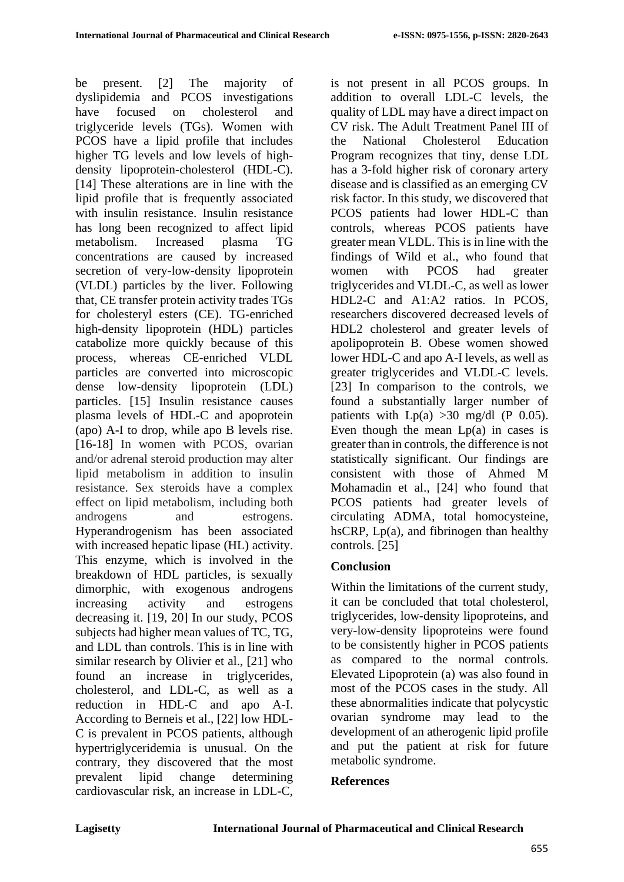be present. [2] The majority of dyslipidemia and PCOS investigations have focused on cholesterol and triglyceride levels (TGs). Women with PCOS have a lipid profile that includes higher TG levels and low levels of highdensity lipoprotein-cholesterol (HDL-C). [14] These alterations are in line with the lipid profile that is frequently associated with insulin resistance. Insulin resistance has long been recognized to affect lipid metabolism. Increased plasma TG concentrations are caused by increased secretion of very-low-density lipoprotein (VLDL) particles by the liver. Following that, CE transfer protein activity trades TGs for cholesteryl esters (CE). TG-enriched high-density lipoprotein (HDL) particles catabolize more quickly because of this process, whereas CE-enriched VLDL particles are converted into microscopic dense low-density lipoprotein (LDL) particles. [15] Insulin resistance causes plasma levels of HDL-C and apoprotein (apo) A-I to drop, while apo B levels rise. [16-18] In women with PCOS, ovarian and/or adrenal steroid production may alter lipid metabolism in addition to insulin resistance. Sex steroids have a complex effect on lipid metabolism, including both androgens and estrogens. Hyperandrogenism has been associated with increased hepatic lipase (HL) activity. This enzyme, which is involved in the breakdown of HDL particles, is sexually dimorphic, with exogenous androgens increasing activity and estrogens decreasing it. [19, 20] In our study, PCOS subjects had higher mean values of TC, TG, and LDL than controls. This is in line with similar research by Olivier et al., [21] who found an increase in triglycerides, cholesterol, and LDL-C, as well as a reduction in HDL-C and apo A-I. According to Berneis et al., [22] low HDL-C is prevalent in PCOS patients, although hypertriglyceridemia is unusual. On the contrary, they discovered that the most prevalent lipid change determining cardiovascular risk, an increase in LDL-C,

is not present in all PCOS groups. In addition to overall LDL-C levels, the quality of LDL may have a direct impact on CV risk. The Adult Treatment Panel III of the National Cholesterol Education Program recognizes that tiny, dense LDL has a 3-fold higher risk of coronary artery disease and is classified as an emerging CV risk factor. In this study, we discovered that PCOS patients had lower HDL-C than controls, whereas PCOS patients have greater mean VLDL. This is in line with the findings of Wild et al., who found that women with PCOS had greater triglycerides and VLDL-C, as well as lower HDL2-C and A1:A2 ratios. In PCOS, researchers discovered decreased levels of HDL2 cholesterol and greater levels of apolipoprotein B. Obese women showed lower HDL-C and apo A-I levels, as well as greater triglycerides and VLDL-C levels. [23] In comparison to the controls, we found a substantially larger number of patients with  $Lp(a) >30$  mg/dl (P 0.05). Even though the mean  $Lp(a)$  in cases is greater than in controls, the difference is not statistically significant. Our findings are consistent with those of Ahmed M Mohamadin et al., [24] who found that PCOS patients had greater levels of circulating ADMA, total homocysteine, hsCRP,  $Lp(a)$ , and fibrinogen than healthy controls. [25]

# **Conclusion**

Within the limitations of the current study, it can be concluded that total cholesterol, triglycerides, low-density lipoproteins, and very-low-density lipoproteins were found to be consistently higher in PCOS patients as compared to the normal controls. Elevated Lipoprotein (a) was also found in most of the PCOS cases in the study. All these abnormalities indicate that polycystic ovarian syndrome may lead to the development of an atherogenic lipid profile and put the patient at risk for future metabolic syndrome.

# **References**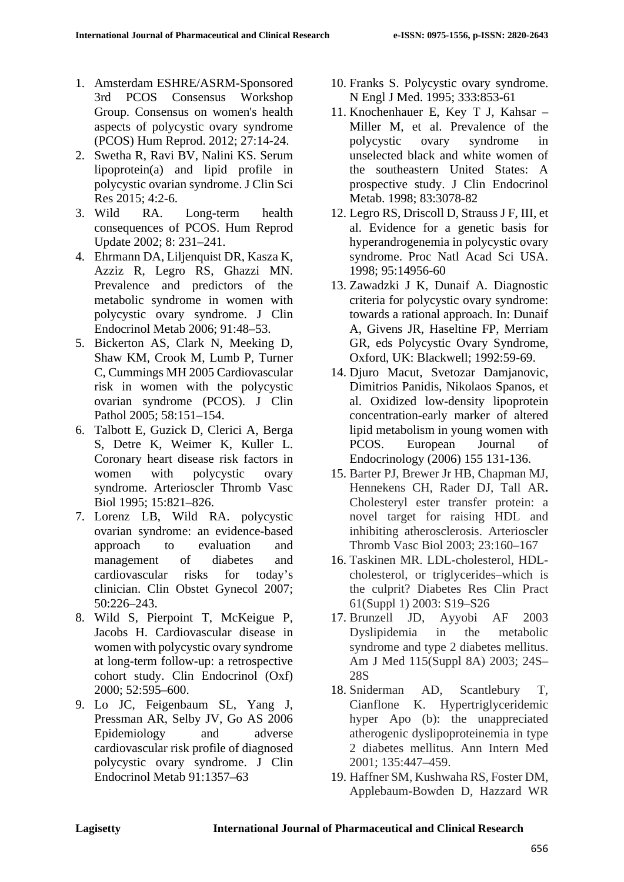- 1. Amsterdam ESHRE/ASRM-Sponsored 3rd PCOS Consensus Workshop Group. Consensus on women's health aspects of polycystic ovary syndrome (PCOS) Hum Reprod. 2012; 27:14-24.
- 2. Swetha R, Ravi BV, Nalini KS. Serum lipoprotein(a) and lipid profile in polycystic ovarian syndrome. J Clin Sci Res 2015; 4:2-6.
- 3. Wild RA. Long-term health consequences of PCOS. Hum Reprod Update 2002; 8: 231–241.
- 4. Ehrmann DA, Liljenquist DR, Kasza K, Azziz R, Legro RS, Ghazzi MN. Prevalence and predictors of the metabolic syndrome in women with polycystic ovary syndrome. J Clin Endocrinol Metab 2006; 91:48–53.
- 5. Bickerton AS, Clark N, Meeking D, Shaw KM, Crook M, Lumb P, Turner C, Cummings MH 2005 Cardiovascular risk in women with the polycystic ovarian syndrome (PCOS). J Clin Pathol 2005; 58:151–154.
- 6. Talbott E, Guzick D, Clerici A, Berga S, Detre K, Weimer K, Kuller L. Coronary heart disease risk factors in women with polycystic ovary syndrome. Arterioscler Thromb Vasc Biol 1995; 15:821–826.
- 7. Lorenz LB, Wild RA. polycystic ovarian syndrome: an evidence-based approach to evaluation and management of diabetes and cardiovascular risks for today's clinician. Clin Obstet Gynecol 2007; 50:226–243.
- 8. Wild S, Pierpoint T, McKeigue P, Jacobs H. Cardiovascular disease in women with polycystic ovary syndrome at long-term follow-up: a retrospective cohort study. Clin Endocrinol (Oxf) 2000; 52:595–600.
- 9. Lo JC, Feigenbaum SL, Yang J, Pressman AR, Selby JV, Go AS 2006 Epidemiology and adverse cardiovascular risk profile of diagnosed polycystic ovary syndrome. J Clin Endocrinol Metab 91:1357–63
- 10. Franks S. Polycystic ovary syndrome. N Engl J Med. 1995; 333:853-61
- 11. Knochenhauer E, Key T J, Kahsar Miller M, et al. Prevalence of the polycystic ovary syndrome in unselected black and white women of the southeastern United States: A prospective study. J Clin Endocrinol Metab. 1998; 83:3078-82
- 12. Legro RS, Driscoll D, Strauss J F, III, et al. Evidence for a genetic basis for hyperandrogenemia in polycystic ovary syndrome. Proc Natl Acad Sci USA. 1998; 95:14956-60
- 13. Zawadzki J K, Dunaif A. Diagnostic criteria for polycystic ovary syndrome: towards a rational approach. In: Dunaif A, Givens JR, Haseltine FP, Merriam GR, eds Polycystic Ovary Syndrome, Oxford, UK: Blackwell; 1992:59-69.
- 14. Djuro Macut, Svetozar Damjanovic, Dimitrios Panidis, Nikolaos Spanos, et al. Oxidized low-density lipoprotein concentration-early marker of altered lipid metabolism in young women with PCOS. European Journal of Endocrinology (2006) 155 131-136.
- 15. Barter PJ, Brewer Jr HB, Chapman MJ, Hennekens CH, Rader DJ, Tall AR**.**  Cholesteryl ester transfer protein: a novel target for raising HDL and inhibiting atherosclerosis. Arterioscler Thromb Vasc Biol 2003; 23:160–167
- 16. Taskinen MR. LDL-cholesterol, HDLcholesterol, or triglycerides–which is the culprit? Diabetes Res Clin Pract 61(Suppl 1) 2003: S19–S26
- 17. Brunzell JD, Ayyobi AF 2003 Dyslipidemia in the metabolic syndrome and type 2 diabetes mellitus. Am J Med 115(Suppl 8A) 2003; 24S– 28S
- 18. Sniderman AD, Scantlebury T, Cianflone K. Hypertriglyceridemic hyper Apo (b): the unappreciated atherogenic dyslipoproteinemia in type 2 diabetes mellitus. Ann Intern Med 2001; 135:447–459.
- 19. Haffner SM, Kushwaha RS, Foster DM, Applebaum-Bowden D, Hazzard WR